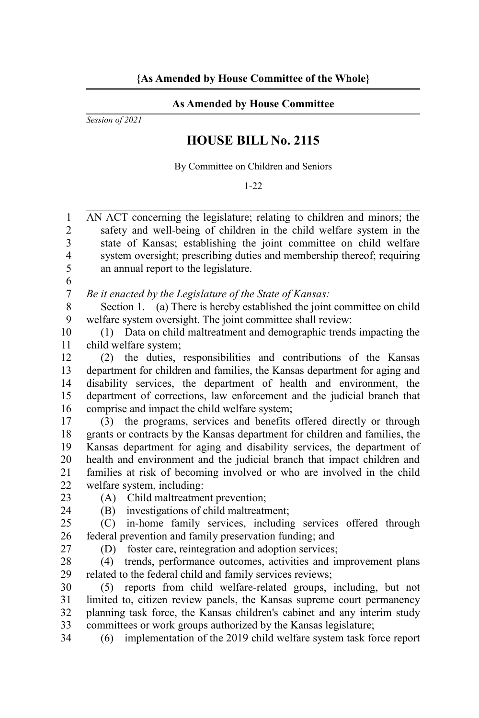## **As Amended by House Committee**

*Session of 2021*

## **HOUSE BILL No. 2115**

By Committee on Children and Seniors

1-22

AN ACT concerning the legislature; relating to children and minors; the safety and well-being of children in the child welfare system in the state of Kansas; establishing the joint committee on child welfare system oversight; prescribing duties and membership thereof; requiring an annual report to the legislature. 1  $\mathfrak{D}$ 3 4 5

*Be it enacted by the Legislature of the State of Kansas:* 7

Section 1. (a) There is hereby established the joint committee on child welfare system oversight. The joint committee shall review: 8 9

(1) Data on child maltreatment and demographic trends impacting the child welfare system; 10 11

(2) the duties, responsibilities and contributions of the Kansas department for children and families, the Kansas department for aging and disability services, the department of health and environment, the department of corrections, law enforcement and the judicial branch that comprise and impact the child welfare system; 12 13 14 15 16

(3) the programs, services and benefits offered directly or through grants or contracts by the Kansas department for children and families, the Kansas department for aging and disability services, the department of health and environment and the judicial branch that impact children and families at risk of becoming involved or who are involved in the child welfare system, including: 17 18 19 20 21 22

23

6

(A) Child maltreatment prevention;

 $24$ 

27

(B) investigations of child maltreatment;

(C) in-home family services, including services offered through federal prevention and family preservation funding; and 25 26

(D) foster care, reintegration and adoption services;

(4) trends, performance outcomes, activities and improvement plans related to the federal child and family services reviews; 28 29

(5) reports from child welfare-related groups, including, but not limited to, citizen review panels, the Kansas supreme court permanency planning task force, the Kansas children's cabinet and any interim study committees or work groups authorized by the Kansas legislature; 30 31 32 33

(6) implementation of the 2019 child welfare system task force report 34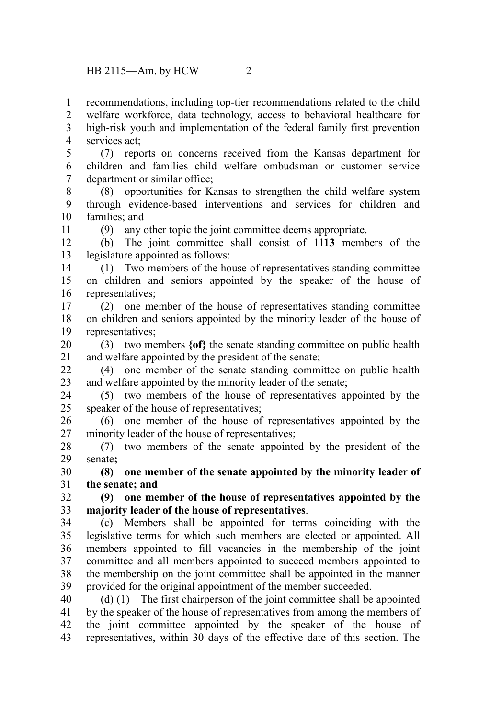recommendations, including top-tier recommendations related to the child 1

welfare workforce, data technology, access to behavioral healthcare for high-risk youth and implementation of the federal family first prevention services act; 2 3 4

(7) reports on concerns received from the Kansas department for children and families child welfare ombudsman or customer service department or similar office; 5 6 7

(8) opportunities for Kansas to strengthen the child welfare system through evidence-based interventions and services for children and families; and 8 9 10

11

(9) any other topic the joint committee deems appropriate.

(b) The joint committee shall consist of 11**13** members of the legislature appointed as follows: 12 13

(1) Two members of the house of representatives standing committee on children and seniors appointed by the speaker of the house of representatives; 14 15 16

(2) one member of the house of representatives standing committee on children and seniors appointed by the minority leader of the house of representatives; 17 18 19

(3) two members **{of}** the senate standing committee on public health and welfare appointed by the president of the senate; 20 21

(4) one member of the senate standing committee on public health and welfare appointed by the minority leader of the senate;  $22$ 23

(5) two members of the house of representatives appointed by the speaker of the house of representatives; 24 25

(6) one member of the house of representatives appointed by the minority leader of the house of representatives; 26 27

(7) two members of the senate appointed by the president of the senate**;** 28 29

**(8) one member of the senate appointed by the minority leader of the senate; and** 30 31

**(9) one member of the house of representatives appointed by the majority leader of the house of representatives**. 32 33

(c) Members shall be appointed for terms coinciding with the legislative terms for which such members are elected or appointed. All members appointed to fill vacancies in the membership of the joint committee and all members appointed to succeed members appointed to the membership on the joint committee shall be appointed in the manner provided for the original appointment of the member succeeded. 34 35 36 37 38 39

(d) (1) The first chairperson of the joint committee shall be appointed by the speaker of the house of representatives from among the members of the joint committee appointed by the speaker of the house of representatives, within 30 days of the effective date of this section. The 40 41 42 43